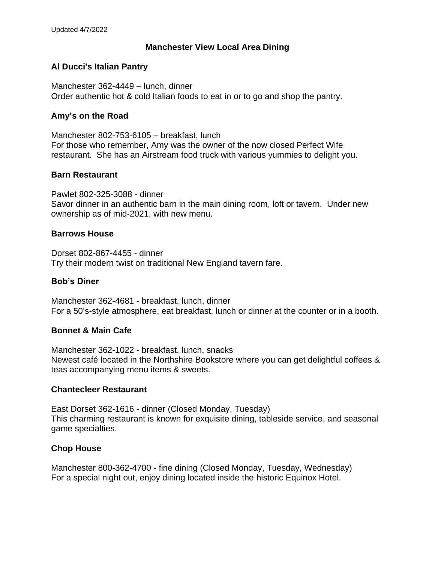## **Manchester View Local Area Dining**

## **Al Ducci's Italian Pantry**

Manchester 362-4449 – lunch, dinner Order authentic hot & cold Italian foods to eat in or to go and shop the pantry.

#### **Amy's on the Road**

Manchester 802-753-6105 – breakfast, lunch For those who remember, Amy was the owner of the now closed Perfect Wife restaurant. She has an Airstream food truck with various yummies to delight you.

#### **Barn Restaurant**

Pawlet 802-325-3088 - dinner Savor dinner in an authentic barn in the main dining room, loft or tavern. Under new ownership as of mid-2021, with new menu.

#### **Barrows House**

Dorset 802-867-4455 - dinner Try their modern twist on traditional New England tavern fare.

#### **Bob's Diner**

Manchester 362-4681 - breakfast, lunch, dinner For a 50's-style atmosphere, eat breakfast, lunch or dinner at the counter or in a booth.

#### **Bonnet & Main Cafe**

Manchester 362-1022 - breakfast, lunch, snacks Newest café located in the Northshire Bookstore where you can get delightful coffees & teas accompanying menu items & sweets.

#### **Chantecleer Restaurant**

East Dorset 362-1616 - dinner (Closed Monday, Tuesday) This charming restaurant is known for exquisite dining, tableside service, and seasonal game specialties.

## **Chop House**

Manchester 800-362-4700 - fine dining (Closed Monday, Tuesday, Wednesday) For a special night out, enjoy dining located inside the historic Equinox Hotel.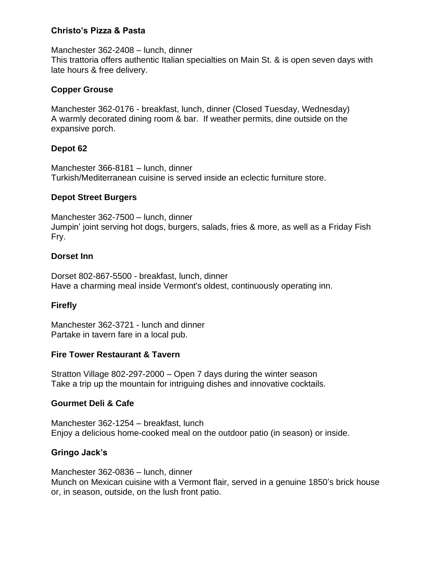# **Christo's Pizza & Pasta**

Manchester 362-2408 – lunch, dinner This trattoria offers authentic Italian specialties on Main St. & is open seven days with late hours & free delivery.

# **Copper Grouse**

Manchester 362-0176 - breakfast, lunch, dinner (Closed Tuesday, Wednesday) A warmly decorated dining room & bar. If weather permits, dine outside on the expansive porch.

# **Depot 62**

Manchester 366-8181 – lunch, dinner Turkish/Mediterranean cuisine is served inside an eclectic furniture store.

## **Depot Street Burgers**

Manchester 362-7500 – lunch, dinner Jumpin' joint serving hot dogs, burgers, salads, fries & more, as well as a Friday Fish Fry.

## **Dorset Inn**

Dorset 802-867-5500 - breakfast, lunch, dinner Have a charming meal inside Vermont's oldest, continuously operating inn.

# **Firefly**

Manchester 362-3721 - lunch and dinner Partake in tavern fare in a local pub.

## **Fire Tower Restaurant & Tavern**

Stratton Village 802-297-2000 – Open 7 days during the winter season Take a trip up the mountain for intriguing dishes and innovative cocktails.

# **Gourmet Deli & Cafe**

Manchester 362-1254 – breakfast, lunch Enjoy a delicious home-cooked meal on the outdoor patio (in season) or inside.

# **Gringo Jack's**

Manchester 362-0836 – lunch, dinner Munch on Mexican cuisine with a Vermont flair, served in a genuine 1850's brick house or, in season, outside, on the lush front patio.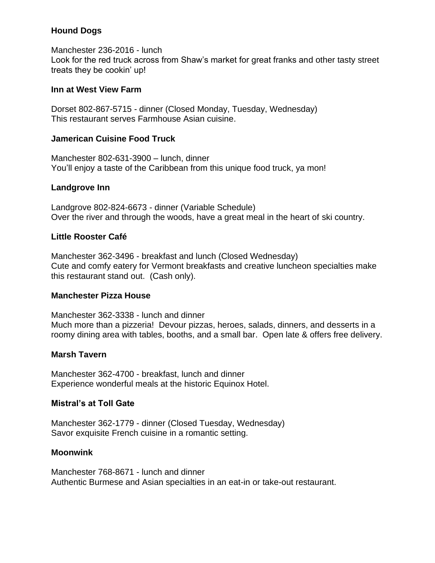# **Hound Dogs**

Manchester 236-2016 - lunch Look for the red truck across from Shaw's market for great franks and other tasty street treats they be cookin' up!

## **Inn at West View Farm**

Dorset 802-867-5715 - dinner (Closed Monday, Tuesday, Wednesday) This restaurant serves Farmhouse Asian cuisine.

# **Jamerican Cuisine Food Truck**

Manchester 802-631-3900 – lunch, dinner You'll enjoy a taste of the Caribbean from this unique food truck, ya mon!

# **Landgrove Inn**

Landgrove 802-824-6673 - dinner (Variable Schedule) Over the river and through the woods, have a great meal in the heart of ski country.

# **Little Rooster Café**

Manchester 362-3496 - breakfast and lunch (Closed Wednesday) Cute and comfy eatery for Vermont breakfasts and creative luncheon specialties make this restaurant stand out. (Cash only).

## **Manchester Pizza House**

Manchester 362-3338 - lunch and dinner Much more than a pizzeria! Devour pizzas, heroes, salads, dinners, and desserts in a roomy dining area with tables, booths, and a small bar. Open late & offers free delivery.

# **Marsh Tavern**

Manchester 362-4700 - breakfast, lunch and dinner Experience wonderful meals at the historic Equinox Hotel.

## **Mistral's at Toll Gate**

Manchester 362-1779 - dinner (Closed Tuesday, Wednesday) Savor exquisite French cuisine in a romantic setting.

## **Moonwink**

Manchester 768-8671 - lunch and dinner Authentic Burmese and Asian specialties in an eat-in or take-out restaurant.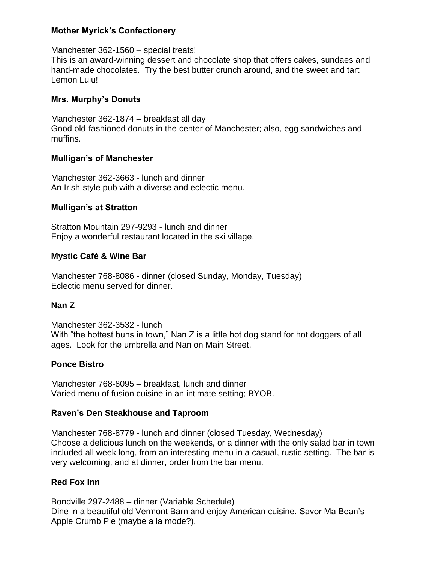## **Mother Myrick's Confectionery**

Manchester 362-1560 – special treats! This is an award-winning dessert and chocolate shop that offers cakes, sundaes and hand-made chocolates. Try the best butter crunch around, and the sweet and tart Lemon Lulu!

## **Mrs. Murphy's Donuts**

Manchester 362-1874 – breakfast all day Good old-fashioned donuts in the center of Manchester; also, egg sandwiches and muffins.

# **Mulligan's of Manchester**

Manchester 362-3663 - lunch and dinner An Irish-style pub with a diverse and eclectic menu.

# **Mulligan's at Stratton**

Stratton Mountain 297-9293 - lunch and dinner Enjoy a wonderful restaurant located in the ski village.

# **Mystic Café & Wine Bar**

Manchester 768-8086 - dinner (closed Sunday, Monday, Tuesday) Eclectic menu served for dinner.

## **Nan Z**

Manchester 362-3532 - lunch With "the hottest buns in town," Nan Z is a little hot dog stand for hot doggers of all ages. Look for the umbrella and Nan on Main Street.

# **Ponce Bistro**

Manchester 768-8095 – breakfast, lunch and dinner Varied menu of fusion cuisine in an intimate setting; BYOB.

## **Raven's Den Steakhouse and Taproom**

Manchester 768-8779 - lunch and dinner (closed Tuesday, Wednesday) Choose a delicious lunch on the weekends, or a dinner with the only salad bar in town included all week long, from an interesting menu in a casual, rustic setting. The bar is very welcoming, and at dinner, order from the bar menu.

# **Red Fox Inn**

Bondville 297-2488 – dinner (Variable Schedule) Dine in a beautiful old Vermont Barn and enjoy American cuisine. Savor Ma Bean's Apple Crumb Pie (maybe a la mode?).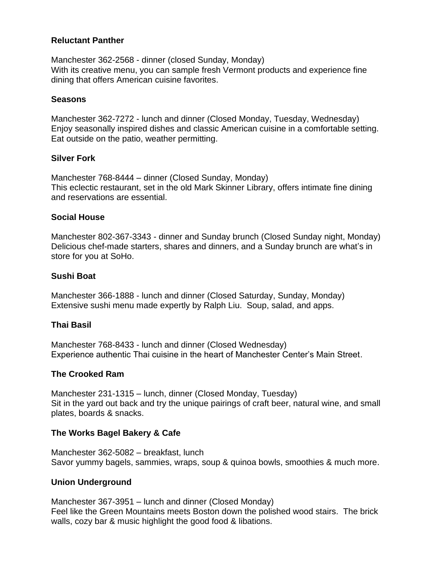## **Reluctant Panther**

Manchester 362-2568 - dinner (closed Sunday, Monday) With its creative menu, you can sample fresh Vermont products and experience fine dining that offers American cuisine favorites.

#### **Seasons**

Manchester 362-7272 - lunch and dinner (Closed Monday, Tuesday, Wednesday) Enjoy seasonally inspired dishes and classic American cuisine in a comfortable setting. Eat outside on the patio, weather permitting.

#### **Silver Fork**

Manchester 768-8444 – dinner (Closed Sunday, Monday) This eclectic restaurant, set in the old Mark Skinner Library, offers intimate fine dining and reservations are essential.

#### **Social House**

Manchester 802-367-3343 - dinner and Sunday brunch (Closed Sunday night, Monday) Delicious chef-made starters, shares and dinners, and a Sunday brunch are what's in store for you at SoHo.

#### **Sushi Boat**

Manchester 366-1888 - lunch and dinner (Closed Saturday, Sunday, Monday) Extensive sushi menu made expertly by Ralph Liu. Soup, salad, and apps.

## **Thai Basil**

Manchester 768-8433 - lunch and dinner (Closed Wednesday) Experience authentic Thai cuisine in the heart of Manchester Center's Main Street.

#### **The Crooked Ram**

Manchester 231-1315 – lunch, dinner (Closed Monday, Tuesday) Sit in the yard out back and try the unique pairings of craft beer, natural wine, and small plates, boards & snacks.

## **The Works Bagel Bakery & Cafe**

Manchester 362-5082 – breakfast, lunch Savor yummy bagels, sammies, wraps, soup & quinoa bowls, smoothies & much more.

#### **Union Underground**

Manchester 367-3951 – lunch and dinner (Closed Monday) Feel like the Green Mountains meets Boston down the polished wood stairs. The brick walls, cozy bar & music highlight the good food & libations.